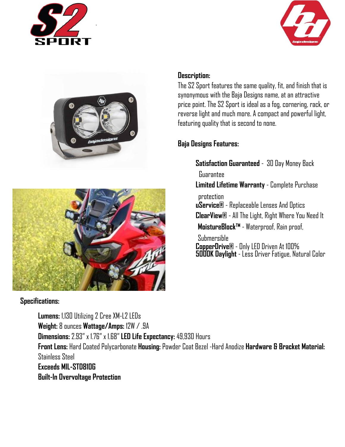







#### **Specifications:**

**Lumens:** 1,130 Utilizing 2 Cree XM-L2 LEDs

**Weight:** 8 ounces **Wattage/Amps:** 12W / .9A

**Dimensions:** 2.93" x 1.76" x 1.68" **LED Life Expectancy:** 49,930 Hours

**Front Lens:** Hard Coated Polycarbonate **Housing:** Powder Coat Bezel -Hard Anodize **Hardware & Bracket Material:** Stainless Steel

**Exceeds MIL-STD810G Built-In Overvoltage Protection**

### **Description:**

The S2 Sport features the same quality, fit, and finish that is synonymous with the Baja Designs name, at an attractive price point. The S2 Sport is ideal as a fog, cornering, rack, or reverse light and much more. A compact and powerful light, featuring quality that is second to none.

# **Baja Designs Features:**

**Satisfaction Guaranteed** - 30 Day Money Back

Guarantee

**Limited Lifetime Warranty** - Complete Purchase

protection

**uService®** - Replaceable Lenses And Optics

**ClearView®** - All The Light, Right Where You Need It

**MoistureBlock™** - Waterproof, Rain proof,

Submersible **CopperDrive®** - Only LED Driven At 100% **5000K Daylight** - Less Driver Fatigue, Natural Color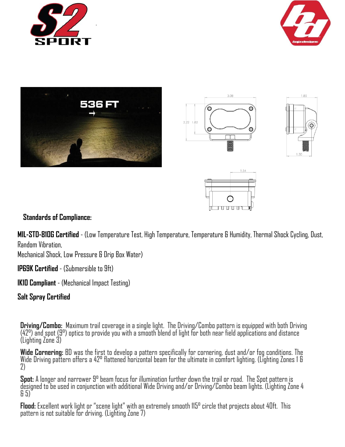











#### **Standards of Compliance:**

**MIL-STD-810G Certified** - (Low Temperature Test, High Temperature, Temperature & Humidity, Thermal Shock Cycling, Dust, Random Vibration,

Mechanical Shock, Low Pressure & Drip Box Water)

**IP69K Certified** - (Submersible to 9ft)

**IK10 Compliant** - (Mechanical Impact Testing)

**Salt Spray Certified** 

**Driving/Combo:** Maximum trail coverage in a single light. The Driving/Combo pattern is equipped with both Driving<br>(42°) and\_spot (9°) optics to provide you with a smooth blend of light for both near field applications an (Lighting Zone 3)

**Wide Cornering:** BD was the first to develop a pattern specifically for cornering, dust and/or fog conditions. The Wide Driving pattern offers a 42° flattened horizontal beam for the ultimate in comfort lighting. (Lighting Zones 1 & 2)

**Spot:** A longer and narrower 9° beam focus for illumination further down the trail or road. The Spot pattern is designed to be used in conjunction with additional Wide Driving and/or Driving/Combo beam lights. (Lighting Zone 4  $65)$ 

**Flood:** Excellent work light or "scene light" with an extremely smooth 115° circle that projects about 40ft. This pattern is not suitable for driving. (Lighting Zone 7)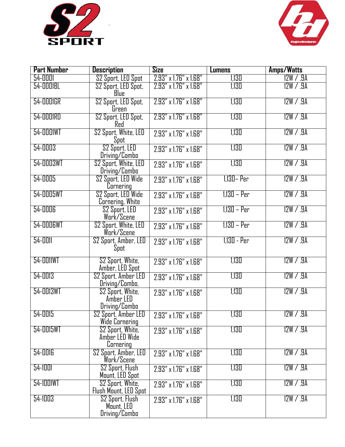



| <b>Part Number</b> | <b>Description</b>                                     | Size                                 | <b>Lumens</b> | Amps/Watts |
|--------------------|--------------------------------------------------------|--------------------------------------|---------------|------------|
| 54-0001            | S2 Sport, LED Spot                                     | 2.93" x 1.76" x 1.68"                | 1,130         | 12W / .9A  |
| 54-0001BL          | S2 Sport, LED Spot,<br>Blue                            | 2.93" x 1.76" x 1.68"                | 1,130         | 12W / .9A  |
| 54-0001GR          | S2 Sport, LED Spot,<br>Green                           | $2.93''$ x $1.76''$ x $1.68''$       | 1,130         | 12W / .9A  |
| 54-0001RD          | S2 Sport, LED Spot,<br>Red                             | $2.93''$ x $1.76''$ x $1.68''$       | 1,130         | 12W / .9A  |
| 54-0001WT          | S2 Sport, White, LED<br>Spot                           | 2.93" x 1.76" x 1.68"                | 1,130         | 12W / .9A  |
| 54-0003            | S <sub>2</sub> Sport, LED<br>Driving/Combo             | 2.93" x 1.76" x 1.68"                | 1,130         | 12W / .9A  |
| 54-0003WT          | S2 Sport, White, LED<br>Driving/Combo                  | 2.93" x 1.76" x 1.68"                | 1,130         | 12W / .9A  |
| 54-0005            | S2 Sport, LED Wide<br>Cornering                        | 2.93" x 1.76" x 1.68"                | 1,130 - Per   | 12W / .9A  |
| 54-0005WT          | S <sub>2</sub> Sport, LED Wide<br>Cornering, White     | 2.93" x 1.76" x 1.68"                | $1,130 - Per$ | 12W / .9A  |
| 54-0006            | S2 Sport, LED<br>Work/Scene                            | 2.93" x 1.76" x 1.68"                | $1,130 - Per$ | 12W / .9A  |
| 54-0006WT          | <b>S2 Sport, White, LED</b><br>Work/Scene              | 2.93" x 1.76" x 1.68"                | 1,130 – Per   | 12W / .9A  |
| 54-0011            | S2 Sport, Amber, LED<br>Spot                           | 2.93" x 1.76" x 1.68"                | 1,130 - Per   | 12W / .9A  |
| 54-0011WT          | S2 Sport, White,<br>Amber, LED Spot                    | 2.93" x 1.76" x 1.68"                | 1,130         | 12W / .9A  |
| $54 - 0013$        | S2 Sport, Amber LED<br>Driving/Combo,                  | 2.93" x 1.76" x 1.68"                | 1,130         | 12W / .9A  |
| 54-0013WT          | S2 Sport, White,<br>Amber LED<br>Driving/Combo         | 2.93" x 1.76" x 1.68"                | 1,130         | 12W / .9A  |
| 54-0015            | S2 Sport, Amber LED<br>Wide Cornering                  | $2.93'' \times 1.76'' \times 1.68''$ | 1,130         | 12W / .9A  |
| 54-0015WT          | S2 Sport, White,<br>Amber LED Wide<br><b>Cornering</b> | 2.93" x 1.76" x 1.68"                | 1,130         | 12W / .9A  |
| <b>54-0016</b>     | S2 Sport, Amber, LED<br>Work/Scene                     | 2.93" x 1.76" x 1.68"                | 1,130         | 12W / .9A  |
| 54-1001            | S <sub>2</sub> Sport, Flush<br>Mount, LED Spot         | $2.93'' \times 1.76'' \times 1.68''$ | 1,130         | 12W / .9A  |
| 54-1001WT          | S2 Sport, White,<br>Flush Mount, LED Spot              | 2.93" x 1.76" x 1.68"                | 1,130         | 12W / .9A  |
| 54-1003            | S2 Sport, Flush<br>Mount, LED<br>Driving/Combo         | 2.93" x 1.76" x 1.68"                | 1,130         | 12W / .9A  |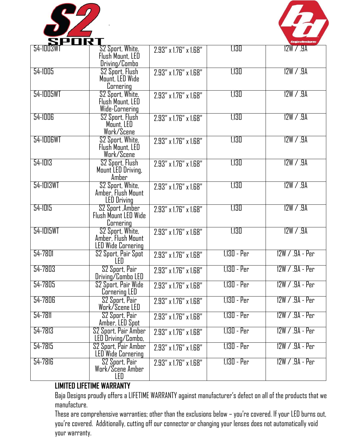

.



| 54-1003WT   | S2 Sport, White,<br>Flush Mount, LED<br>Driving/Combo                                   | 2.93" x 1.76" x 1.68"                | 1,130         | 12W / .9A         |
|-------------|-----------------------------------------------------------------------------------------|--------------------------------------|---------------|-------------------|
| 54-1005     | S <sub>2</sub> Sport, Flush<br>Mount, LED Wide<br>Cornering                             | 2.93" x 1.76" x 1.68"                | 1,130         | 12W / .9A         |
| 54-1005WT   | S2 Sport, White,<br>Flush Mount, LED<br>Wide-Cornering                                  | 2.93" x 1.76" x 1.68"                | 1,130         | 12W / .9A         |
| 54-1006     | S2 Sport, Flush<br>Mount, LED<br>Work/Scene                                             | 2.93" x 1.76" x 1.68"                | 1,130         | 12W / .9A         |
| 54-1006WT   | S2 Sport, White,<br>Flush Mount, LED<br>Work/Scene                                      | 2.93" x 1.76" x 1.68"                | 1,130         | 12W / .9A         |
| 54-1013     | S2 Sport, Flush<br>Mount LED Driving,<br>Amber                                          | 2.93" x 1.76" x 1.68"                | 1,130         | 12W / .9A         |
| 54-1013WT   | S2 Sport, White,<br>Amber, Flush Mount<br><b>LED Driving</b>                            | $2.93'' \times 1.76'' \times 1.68''$ | 1,130         | 12W / .9A         |
| $54 - 1015$ | S2 Sport, Amber<br>Flush Mount LED Wide                                                 | 2.93" x 1.76" x 1.68"                | 1,130         | 12W / .9A         |
| 54-1015WT   | <b>Cornering</b><br>S2 Sport, White,<br>Amber, Flush Mount<br><b>LED Wide Cornering</b> | 2.93" x 1.76" x 1.68"                | 1,130         | 12W / .9A         |
| 54-7801     | S2 Sport, Pair Spot<br>LED                                                              | 2.93" x 1.76" x 1.68"                | 1,130 - Per   | $12W / .9A - Per$ |
| 54-7803     | S2 Sport, Pair<br>Driving/Combo LED                                                     | 2.93" x 1.76" x 1.68"                | 1,130 - Per   | 12W / .9A - Per   |
| 54-7805     | S2 Sport, Pair Wide<br>Cornering LED                                                    | 2.93" x 1.76" x 1.68"                | 1,130 - Per   | 12W / .9A - Per   |
| $54 - 7806$ | S <sub>2</sub> Sport, Pair<br>Work/Scene LED                                            | 2.93" x 1.76" x 1.68"                | 1,130 - Per   | $12W / .9A - Per$ |
| 54-7811     | S2 Sport, Pair<br>Amber, LED Spot                                                       | 2.93" x 1.76" x 1.68"                | $1,130 - Per$ | $12W / .9A - Per$ |
| 54-7813     | S2 Sport, Pair Amber<br>LED Driving/Combo,                                              | 2.93" x 1.76" x 1.68"                | 1,130 - Per   | 12W / .9A - Per   |
| 54-7815     | S2 Sport, Pair Amber<br><b>LED Wide Cornering</b>                                       | 2.93" x 1.76" x 1.68"                | 1,130 - Per   | 12W / .9A - Per   |
| 54-7816     | S2 Sport, Pair<br>Work/Scene Amber<br>LED                                               | $2.93'' \times 1.76'' \times 1.68''$ | 1,130 - Per   | 12W / .9A - Per   |

## **LIMITED LIFETIME WARRANTY**

Baja Designs proudly offers a LIFETIME WARRANTY against manufacturer's defect on all of the products that we manufacture.

These are comprehensive warranties; other than the exclusions below – you're covered. If your LED burns out, you're covered. Additionally, cutting off our connector or changing your lenses does not automatically void your warranty.